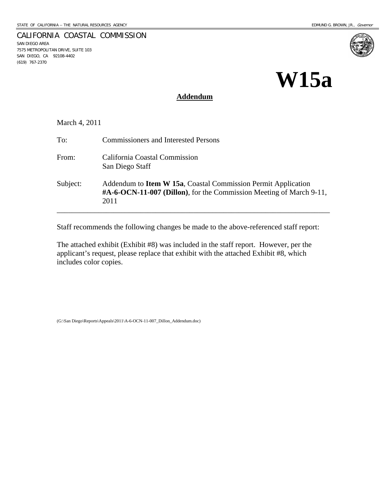7575 METROPOLITAN DRIVE, SUITE 103 SAN DIEGO, CA 92108-4402

SAN DIEGO AREA

(619) 767-2370

CALIFORNIA COASTAL COMMISSION

# **W15a**

#### **Addendum**

March 4, 2011

| To:      | <b>Commissioners and Interested Persons</b>                                                                                                              |
|----------|----------------------------------------------------------------------------------------------------------------------------------------------------------|
| From:    | California Coastal Commission<br>San Diego Staff                                                                                                         |
| Subject: | Addendum to <b>Item W 15a</b> , Coastal Commission Permit Application<br>$\#A$ -6-OCN-11-007 (Dillon), for the Commission Meeting of March 9-11,<br>2011 |

Staff recommends the following changes be made to the above-referenced staff report:

The attached exhibit (Exhibit #8) was included in the staff report. However, per the applicant's request, please replace that exhibit with the attached Exhibit #8, which includes color copies.

(G:\San Diego\Reports\Appeals\2011\A-6-OCN-11-007\_Dillon\_Addendum.doc)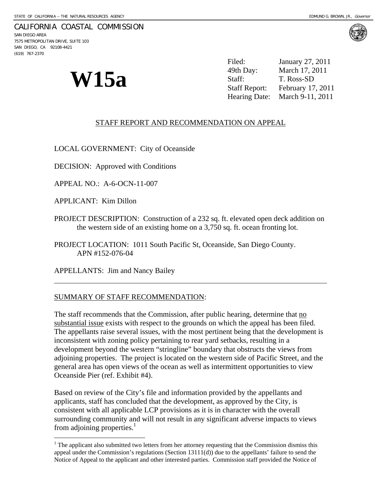#### CALIFORNIA COASTAL COMMISSION

SAN DIEGO AREA 7575 METROPOLITAN DRIVE, SUITE 103 SAN DIEGO, CA 92108-4421 (619) 767-2370

l

 $\overline{a}$ 

**W15a** <sup>49th Day: March 17, 2<br>Staff: T. Ross-SD<br>Staff Report: February 17</sup> Filed: January 27, 2011 March 17, 2011 February 17, 2011 Hearing Date: March 9-11, 2011

#### STAFF REPORT AND RECOMMENDATION ON APPEAL

LOCAL GOVERNMENT: City of Oceanside

DECISION: Approved with Conditions

APPEAL NO.: A-6-OCN-11-007

APPLICANT: Kim Dillon

PROJECT DESCRIPTION: Construction of a 232 sq. ft. elevated open deck addition on the western side of an existing home on a 3,750 sq. ft. ocean fronting lot.

PROJECT LOCATION: 1011 South Pacific St, Oceanside, San Diego County. APN #152-076-04

APPELLANTS: Jim and Nancy Bailey

#### SUMMARY OF STAFF RECOMMENDATION:

The staff recommends that the Commission, after public hearing, determine that no substantial issue exists with respect to the grounds on which the appeal has been filed. The appellants raise several issues, with the most pertinent being that the development is inconsistent with zoning policy pertaining to rear yard setbacks, resulting in a development beyond the western "stringline" boundary that obstructs the views from adjoining properties. The project is located on the western side of Pacific Street, and the general area has open views of the ocean as well as intermittent opportunities to view Oceanside Pier (ref. Exhibit #4).

Based on review of the City's file and information provided by the appellants and applicants, staff has concluded that the development, as approved by the City, is consistent with all applicable LCP provisions as it is in character with the overall surrounding community and will not result in any significant adverse impacts to views from adjoining properties. $<sup>1</sup>$ </sup>



 $1$  The applicant also submitted two letters from her attorney requesting that the Commission dismiss this appeal under the Commission's regulations (Section 13111(d)) due to the appellants' failure to send the Notice of Appeal to the applicant and other interested parties. Commission staff provided the Notice of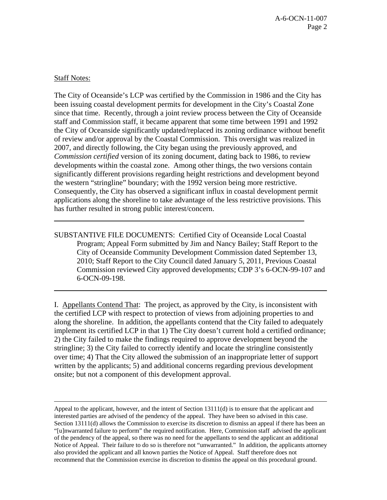## Staff Notes:

 $\overline{a}$ 

l

The City of Oceanside's LCP was certified by the Commission in 1986 and the City has been issuing coastal development permits for development in the City's Coastal Zone since that time. Recently, through a joint review process between the City of Oceanside staff and Commission staff, it became apparent that some time between 1991 and 1992 the City of Oceanside significantly updated/replaced its zoning ordinance without benefit of review and/or approval by the Coastal Commission. This oversight was realized in 2007, and directly following, the City began using the previously approved, and *Commission certified* version of its zoning document, dating back to 1986, to review developments within the coastal zone. Among other things, the two versions contain significantly different provisions regarding height restrictions and development beyond the western "stringline" boundary; with the 1992 version being more restrictive. Consequently, the City has observed a significant influx in coastal development permit applications along the shoreline to take advantage of the less restrictive provisions. This has further resulted in strong public interest/concern.

SUBSTANTIVE FILE DOCUMENTS: Certified City of Oceanside Local Coastal Program; Appeal Form submitted by Jim and Nancy Bailey; Staff Report to the City of Oceanside Community Development Commission dated September 13, 2010; Staff Report to the City Council dated January 5, 2011, Previous Coastal Commission reviewed City approved developments; CDP 3's 6-OCN-99-107 and 6-OCN-09-198.

I. Appellants Contend That: The project, as approved by the City, is inconsistent with the certified LCP with respect to protection of views from adjoining properties to and along the shoreline. In addition, the appellants contend that the City failed to adequately implement its certified LCP in that 1) The City doesn't current hold a certified ordinance; 2) the City failed to make the findings required to approve development beyond the stringline; 3) the City failed to correctly identify and locate the stringline consistently over time; 4) That the City allowed the submission of an inappropriate letter of support written by the applicants; 5) and additional concerns regarding previous development onsite; but not a component of this development approval.

Appeal to the applicant, however, and the intent of Section 13111(d) is to ensure that the applicant and interested parties are advised of the pendency of the appeal. They have been so advised in this case. Section 13111(d) allows the Commission to exercise its discretion to dismiss an appeal if there has been an "[u]nwarranted failure to perform" the required notification. Here, Commission staff advised the applicant of the pendency of the appeal, so there was no need for the appellants to send the applicant an additional Notice of Appeal. Their failure to do so is therefore not "unwarranted." In addition, the applicants attorney also provided the applicant and all known parties the Notice of Appeal. Staff therefore does not recommend that the Commission exercise its discretion to dismiss the appeal on this procedural ground.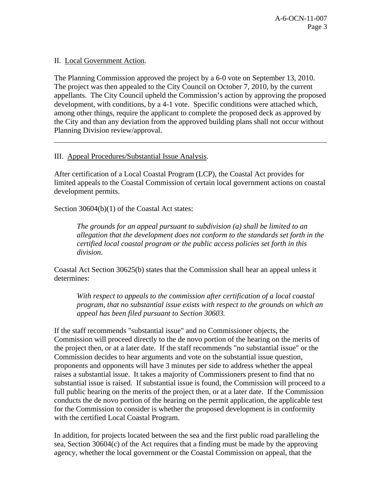II. Local Government Action.

 $\overline{a}$ 

The Planning Commission approved the project by a 6-0 vote on September 13, 2010. The project was then appealed to the City Council on October 7, 2010, by the current appellants. The City Council upheld the Commission's action by approving the proposed development, with conditions, by a 4-1 vote. Specific conditions were attached which, among other things, require the applicant to complete the proposed deck as approved by the City and than any deviation from the approved building plans shall not occur without Planning Division review/approval.

# III. Appeal Procedures/Substantial Issue Analysis.

After certification of a Local Coastal Program (LCP), the Coastal Act provides for limited appeals to the Coastal Commission of certain local government actions on coastal development permits.

Section 30604(b)(1) of the Coastal Act states:

*The grounds for an appeal pursuant to subdivision (a) shall be limited to an allegation that the development does not conform to the standards set forth in the certified local coastal program or the public access policies set forth in this division.* 

Coastal Act Section 30625(b) states that the Commission shall hear an appeal unless it determines:

*With respect to appeals to the commission after certification of a local coastal program, that no substantial issue exists with respect to the grounds on which an appeal has been filed pursuant to Section 30603.* 

If the staff recommends "substantial issue" and no Commissioner objects, the Commission will proceed directly to the de novo portion of the hearing on the merits of the project then, or at a later date. If the staff recommends "no substantial issue" or the Commission decides to hear arguments and vote on the substantial issue question, proponents and opponents will have 3 minutes per side to address whether the appeal raises a substantial issue. It takes a majority of Commissioners present to find that no substantial issue is raised. If substantial issue is found, the Commission will proceed to a full public hearing on the merits of the project then, or at a later date. If the Commission conducts the de novo portion of the hearing on the permit application, the applicable test for the Commission to consider is whether the proposed development is in conformity with the certified Local Coastal Program.

In addition, for projects located between the sea and the first public road paralleling the sea, Section 30604(c) of the Act requires that a finding must be made by the approving agency, whether the local government or the Coastal Commission on appeal, that the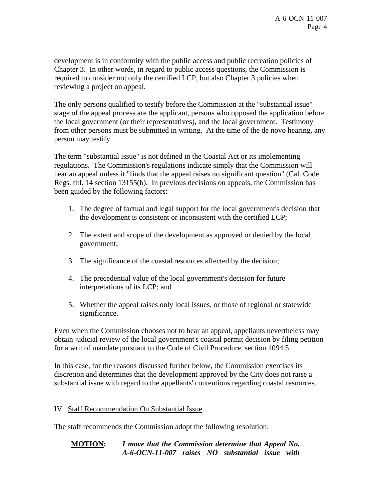development is in conformity with the public access and public recreation policies of Chapter 3. In other words, in regard to public access questions, the Commission is required to consider not only the certified LCP, but also Chapter 3 policies when reviewing a project on appeal.

The only persons qualified to testify before the Commission at the "substantial issue" stage of the appeal process are the applicant, persons who opposed the application before the local government (or their representatives), and the local government. Testimony from other persons must be submitted in writing. At the time of the de novo hearing, any person may testify.

The term "substantial issue" is not defined in the Coastal Act or its implementing regulations. The Commission's regulations indicate simply that the Commission will hear an appeal unless it "finds that the appeal raises no significant question" (Cal. Code Regs. titl. 14 section 13155(b). In previous decisions on appeals, the Commission has been guided by the following factors:

- 1. The degree of factual and legal support for the local government's decision that the development is consistent or inconsistent with the certified LCP;
- 2. The extent and scope of the development as approved or denied by the local government;
- 3. The significance of the coastal resources affected by the decision;
- 4. The precedential value of the local government's decision for future interpretations of its LCP; and
- 5. Whether the appeal raises only local issues, or those of regional or statewide significance.

Even when the Commission chooses not to hear an appeal, appellants nevertheless may obtain judicial review of the local government's coastal permit decision by filing petition for a writ of mandate pursuant to the Code of Civil Procedure, section 1094.5.

In this case, for the reasons discussed further below, the Commission exercises its discretion and determines that the development approved by the City does not raise a substantial issue with regard to the appellants' contentions regarding coastal resources.

# IV. Staff Recommendation On Substantial Issue.

 $\overline{a}$ 

The staff recommends the Commission adopt the following resolution:

**MOTION:** *I move that the Commission determine that Appeal No. A-6-OCN-11-007 raises NO substantial issue with*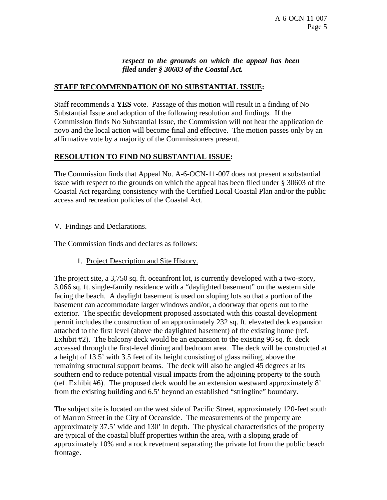## *respect to the grounds on which the appeal has been filed under § 30603 of the Coastal Act.*

# **STAFF RECOMMENDATION OF NO SUBSTANTIAL ISSUE:**

Staff recommends a **YES** vote. Passage of this motion will result in a finding of No Substantial Issue and adoption of the following resolution and findings. If the Commission finds No Substantial Issue, the Commission will not hear the application de novo and the local action will become final and effective. The motion passes only by an affirmative vote by a majority of the Commissioners present.

# **RESOLUTION TO FIND NO SUBSTANTIAL ISSUE:**

The Commission finds that Appeal No. A-6-OCN-11-007 does not present a substantial issue with respect to the grounds on which the appeal has been filed under § 30603 of the Coastal Act regarding consistency with the Certified Local Coastal Plan and/or the public access and recreation policies of the Coastal Act.

### V. Findings and Declarations.

l

The Commission finds and declares as follows:

1. Project Description and Site History.

The project site, a 3,750 sq. ft. oceanfront lot, is currently developed with a two-story, 3,066 sq. ft. single-family residence with a "daylighted basement" on the western side facing the beach. A daylight basement is used on sloping lots so that a portion of the basement can accommodate larger windows and/or, a doorway that opens out to the exterior. The specific development proposed associated with this coastal development permit includes the construction of an approximately 232 sq. ft. elevated deck expansion attached to the first level (above the daylighted basement) of the existing home (ref. Exhibit #2). The balcony deck would be an expansion to the existing 96 sq. ft. deck accessed through the first-level dining and bedroom area. The deck will be constructed at a height of 13.5' with 3.5 feet of its height consisting of glass railing, above the remaining structural support beams. The deck will also be angled 45 degrees at its southern end to reduce potential visual impacts from the adjoining property to the south (ref. Exhibit #6). The proposed deck would be an extension westward approximately 8' from the existing building and 6.5' beyond an established "stringline" boundary.

The subject site is located on the west side of Pacific Street, approximately 120-feet south of Marron Street in the City of Oceanside. The measurements of the property are approximately 37.5' wide and 130' in depth. The physical characteristics of the property are typical of the coastal bluff properties within the area, with a sloping grade of approximately 10% and a rock revetment separating the private lot from the public beach frontage.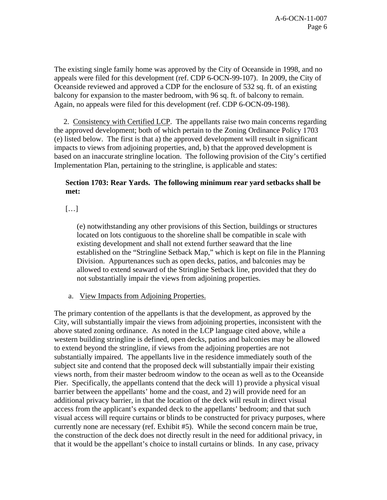The existing single family home was approved by the City of Oceanside in 1998, and no appeals were filed for this development (ref. CDP 6-OCN-99-107). In 2009, the City of Oceanside reviewed and approved a CDP for the enclosure of 532 sq. ft. of an existing balcony for expansion to the master bedroom, with 96 sq. ft. of balcony to remain. Again, no appeals were filed for this development (ref. CDP 6-OCN-09-198).

 2. Consistency with Certified LCP. The appellants raise two main concerns regarding the approved development; both of which pertain to the Zoning Ordinance Policy 1703 (e) listed below. The first is that a) the approved development will result in significant impacts to views from adjoining properties, and, b) that the approved development is based on an inaccurate stringline location. The following provision of the City's certified Implementation Plan, pertaining to the stringline, is applicable and states:

# **Section 1703: Rear Yards. The following minimum rear yard setbacks shall be met:**

[…]

(e) notwithstanding any other provisions of this Section, buildings or structures located on lots contiguous to the shoreline shall be compatible in scale with existing development and shall not extend further seaward that the line established on the "Stringline Setback Map," which is kept on file in the Planning Division. Appurtenances such as open decks, patios, and balconies may be allowed to extend seaward of the Stringline Setback line, provided that they do not substantially impair the views from adjoining properties.

a. View Impacts from Adjoining Properties.

The primary contention of the appellants is that the development, as approved by the City, will substantially impair the views from adjoining properties, inconsistent with the above stated zoning ordinance. As noted in the LCP language cited above, while a western building stringline is defined, open decks, patios and balconies may be allowed to extend beyond the stringline, if views from the adjoining properties are not substantially impaired. The appellants live in the residence immediately south of the subject site and contend that the proposed deck will substantially impair their existing views north, from their master bedroom window to the ocean as well as to the Oceanside Pier. Specifically, the appellants contend that the deck will 1) provide a physical visual barrier between the appellants' home and the coast, and 2) will provide need for an additional privacy barrier, in that the location of the deck will result in direct visual access from the applicant's expanded deck to the appellants' bedroom; and that such visual access will require curtains or blinds to be constructed for privacy purposes, where currently none are necessary (ref. Exhibit #5). While the second concern main be true, the construction of the deck does not directly result in the need for additional privacy, in that it would be the appellant's choice to install curtains or blinds. In any case, privacy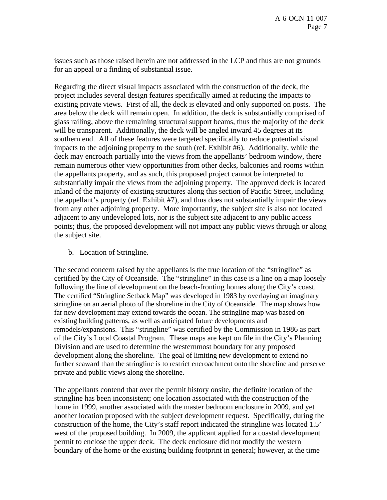issues such as those raised herein are not addressed in the LCP and thus are not grounds for an appeal or a finding of substantial issue.

Regarding the direct visual impacts associated with the construction of the deck, the project includes several design features specifically aimed at reducing the impacts to existing private views. First of all, the deck is elevated and only supported on posts. The area below the deck will remain open. In addition, the deck is substantially comprised of glass railing, above the remaining structural support beams, thus the majority of the deck will be transparent. Additionally, the deck will be angled inward 45 degrees at its southern end. All of these features were targeted specifically to reduce potential visual impacts to the adjoining property to the south (ref. Exhibit #6). Additionally, while the deck may encroach partially into the views from the appellants' bedroom window, there remain numerous other view opportunities from other decks, balconies and rooms within the appellants property, and as such, this proposed project cannot be interpreted to substantially impair the views from the adjoining property. The approved deck is located inland of the majority of existing structures along this section of Pacific Street, including the appellant's property (ref. Exhibit #7), and thus does not substantially impair the views from any other adjoining property. More importantly, the subject site is also not located adjacent to any undeveloped lots, nor is the subject site adjacent to any public access points; thus, the proposed development will not impact any public views through or along the subject site.

### b. Location of Stringline.

The second concern raised by the appellants is the true location of the "stringline" as certified by the City of Oceanside. The "stringline" in this case is a line on a map loosely following the line of development on the beach-fronting homes along the City's coast. The certified "Stringline Setback Map" was developed in 1983 by overlaying an imaginary stringline on an aerial photo of the shoreline in the City of Oceanside. The map shows how far new development may extend towards the ocean. The stringline map was based on existing building patterns, as well as anticipated future developments and remodels/expansions. This "stringline" was certified by the Commission in 1986 as part of the City's Local Coastal Program. These maps are kept on file in the City's Planning Division and are used to determine the westernmost boundary for any proposed development along the shoreline. The goal of limiting new development to extend no further seaward than the stringline is to restrict encroachment onto the shoreline and preserve private and public views along the shoreline.

The appellants contend that over the permit history onsite, the definite location of the stringline has been inconsistent; one location associated with the construction of the home in 1999, another associated with the master bedroom enclosure in 2009, and yet another location proposed with the subject development request. Specifically, during the construction of the home, the City's staff report indicated the stringline was located 1.5' west of the proposed building. In 2009, the applicant applied for a coastal development permit to enclose the upper deck. The deck enclosure did not modify the western boundary of the home or the existing building footprint in general; however, at the time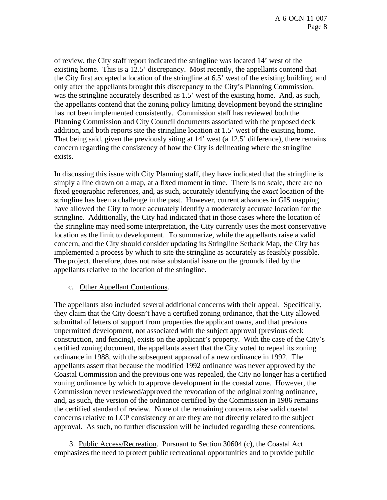of review, the City staff report indicated the stringline was located 14' west of the existing home. This is a 12.5' discrepancy. Most recently, the appellants contend that the City first accepted a location of the stringline at 6.5' west of the existing building, and only after the appellants brought this discrepancy to the City's Planning Commission, was the stringline accurately described as 1.5' west of the existing home. And, as such, the appellants contend that the zoning policy limiting development beyond the stringline has not been implemented consistently. Commission staff has reviewed both the Planning Commission and City Council documents associated with the proposed deck addition, and both reports site the stringline location at 1.5' west of the existing home. That being said, given the previously siting at 14' west (a 12.5' difference), there remains concern regarding the consistency of how the City is delineating where the stringline exists.

In discussing this issue with City Planning staff, they have indicated that the stringline is simply a line drawn on a map, at a fixed moment in time. There is no scale, there are no fixed geographic references, and, as such, accurately identifying the *exact* location of the stringline has been a challenge in the past. However, current advances in GIS mapping have allowed the City to more accurately identify a moderately accurate location for the stringline. Additionally, the City had indicated that in those cases where the location of the stringline may need some interpretation, the City currently uses the most conservative location as the limit to development. To summarize, while the appellants raise a valid concern, and the City should consider updating its Stringline Setback Map, the City has implemented a process by which to site the stringline as accurately as feasibly possible. The project, therefore, does not raise substantial issue on the grounds filed by the appellants relative to the location of the stringline.

#### c. Other Appellant Contentions.

The appellants also included several additional concerns with their appeal. Specifically, they claim that the City doesn't have a certified zoning ordinance, that the City allowed submittal of letters of support from properties the applicant owns, and that previous unpermitted development, not associated with the subject approval (previous deck construction, and fencing), exists on the applicant's property. With the case of the City's certified zoning document, the appellants assert that the City voted to repeal its zoning ordinance in 1988, with the subsequent approval of a new ordinance in 1992. The appellants assert that because the modified 1992 ordinance was never approved by the Coastal Commission and the previous one was repealed, the City no longer has a certified zoning ordinance by which to approve development in the coastal zone. However, the Commission never reviewed/approved the revocation of the original zoning ordinance, and, as such, the version of the ordinance certified by the Commission in 1986 remains the certified standard of review. None of the remaining concerns raise valid coastal concerns relative to LCP consistency or are they are not directly related to the subject approval. As such, no further discussion will be included regarding these contentions.

3. Public Access/Recreation. Pursuant to Section 30604 (c), the Coastal Act emphasizes the need to protect public recreational opportunities and to provide public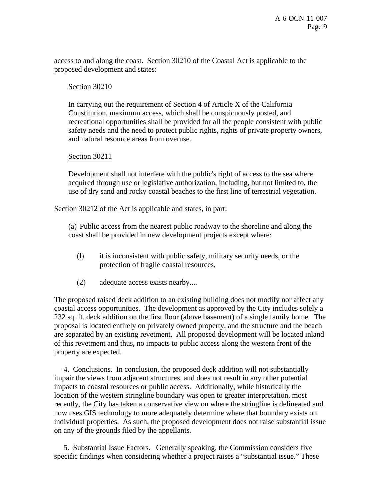access to and along the coast. Section 30210 of the Coastal Act is applicable to the proposed development and states:

### Section 30210

In carrying out the requirement of Section 4 of Article X of the California Constitution, maximum access, which shall be conspicuously posted, and recreational opportunities shall be provided for all the people consistent with public safety needs and the need to protect public rights, rights of private property owners, and natural resource areas from overuse.

#### Section 30211

Development shall not interfere with the public's right of access to the sea where acquired through use or legislative authorization, including, but not limited to, the use of dry sand and rocky coastal beaches to the first line of terrestrial vegetation.

Section 30212 of the Act is applicable and states, in part:

(a) Public access from the nearest public roadway to the shoreline and along the coast shall be provided in new development projects except where:

- (l) it is inconsistent with public safety, military security needs, or the protection of fragile coastal resources,
- (2) adequate access exists nearby....

The proposed raised deck addition to an existing building does not modify nor affect any coastal access opportunities. The development as approved by the City includes solely a 232 sq. ft. deck addition on the first floor (above basement) of a single family home. The proposal is located entirely on privately owned property, and the structure and the beach are separated by an existing revetment. All proposed development will be located inland of this revetment and thus, no impacts to public access along the western front of the property are expected.

 4.Conclusions. In conclusion, the proposed deck addition will not substantially impair the views from adjacent structures, and does not result in any other potential impacts to coastal resources or public access. Additionally, while historically the location of the western stringline boundary was open to greater interpretation, most recently, the City has taken a conservative view on where the stringline is delineated and now uses GIS technology to more adequately determine where that boundary exists on individual properties. As such, the proposed development does not raise substantial issue on any of the grounds filed by the appellants.

 5.Substantial Issue Factors**.** Generally speaking, the Commission considers five specific findings when considering whether a project raises a "substantial issue." These